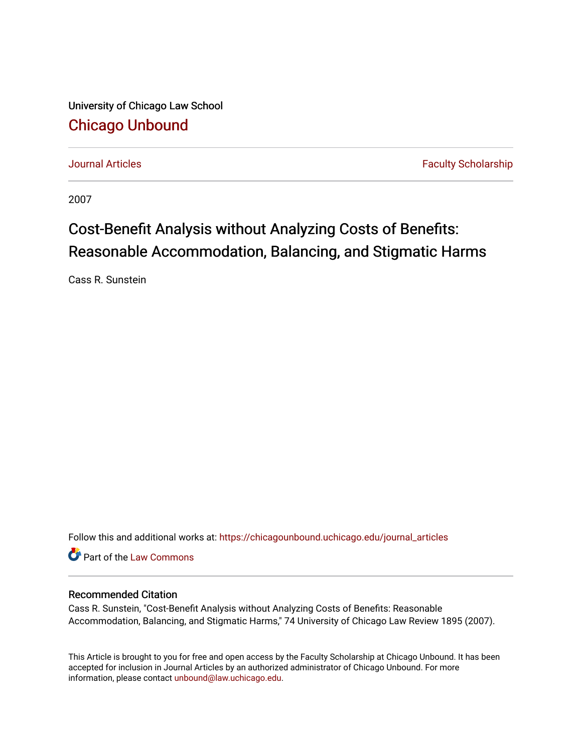University of Chicago Law School [Chicago Unbound](https://chicagounbound.uchicago.edu/)

[Journal Articles](https://chicagounbound.uchicago.edu/journal_articles) **Faculty Scholarship Journal Articles** 

2007

# Cost-Benefit Analysis without Analyzing Costs of Benefits: Reasonable Accommodation, Balancing, and Stigmatic Harms

Cass R. Sunstein

Follow this and additional works at: [https://chicagounbound.uchicago.edu/journal\\_articles](https://chicagounbound.uchicago.edu/journal_articles?utm_source=chicagounbound.uchicago.edu%2Fjournal_articles%2F8343&utm_medium=PDF&utm_campaign=PDFCoverPages) 

Part of the [Law Commons](http://network.bepress.com/hgg/discipline/578?utm_source=chicagounbound.uchicago.edu%2Fjournal_articles%2F8343&utm_medium=PDF&utm_campaign=PDFCoverPages)

# Recommended Citation

Cass R. Sunstein, "Cost-Benefit Analysis without Analyzing Costs of Benefits: Reasonable Accommodation, Balancing, and Stigmatic Harms," 74 University of Chicago Law Review 1895 (2007).

This Article is brought to you for free and open access by the Faculty Scholarship at Chicago Unbound. It has been accepted for inclusion in Journal Articles by an authorized administrator of Chicago Unbound. For more information, please contact [unbound@law.uchicago.edu](mailto:unbound@law.uchicago.edu).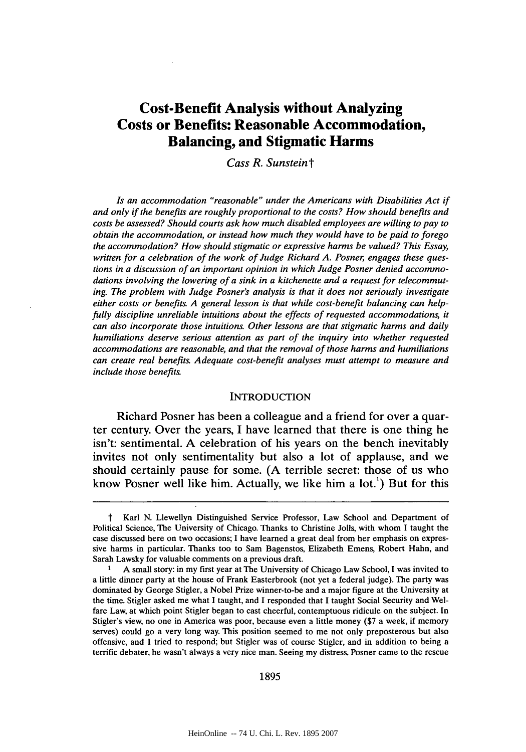# **Cost-Benefit Analysis without Analyzing Costs or Benefits: Reasonable Accommodation, Balancing, and Stigmatic Harms**

*Cass R. Sunsteint*

*Is an accommodation "reasonable" under the Americans with Disabilities Act if and only if the benefits are roughly proportional to the costs? How should benefits and costs be assessed? Should courts ask how much disabled employees are willing to pay to obtain the accommodation, or instead how much they would have to be paid to forego the accommodation? How should stigmatic or expressive harms be valued? This Essay, written for a celebration of the work of Judge Richard A. Posner, engages these questions in a discussion of an important opinion in which Judge Posner denied accommodations involving the lowering of a sink in a kitchenette and a request for telecommuting. The problem with Judge Posner's analysis is that it does not seriously investigate either costs or benefits. A general lesson is that while cost-benefit balancing can helpfully discipline unreliable intuitions about the effects of requested accommodations, it can also incorporate those intuitions. Other lessons are that stigmatic harms and daily humiliations deserve serious attention as part of the inquiry into whether requested accommodations are reasonable, and that the removal of those harms and humiliations can create real benefits Adequate cost-benefit analyses must attempt to measure and include those benefits.*

#### **INTRODUCTION**

Richard Posner has been a colleague and a friend for over a quarter century. Over the years, **I** have learned that there is one thing he isn't: sentimental. **A** celebration of his years on the bench inevitably invites not only sentimentality but also a lot of applause, and we should certainly pause for some. **(A** terrible secret: those of us who know Posner well like him. Actually, we like him a lot.') But for this

**1895**

*t* Karl **N.** Llewellyn Distinguished Service Professor, Law School and Department of Political Science, The University of Chicago. Thanks to Christine Jolls, with whom **I** taught the case discussed here on two occasions; **I** have learned a great deal from her emphasis on expressive harms in particular. Thanks too to Sam Bagenstos, Elizabeth Emens, Robert Hahn, and Sarah Lawsky for valuable comments on a previous draft.

**<sup>1</sup> A** small story: in my first year at The University of Chicago Law School, **I** was invited to a little dinner party at the house of Frank Easterbrook (not yet a federal judge). The party was dominated **by** George Stigler, a Nobel Prize winner-to-be and a major figure at the University at the time. Stigler asked me what **I** taught, and **I** responded that I taught Social Security and Welfare Law, at which point Stigler began to cast cheerful, contemptuous ridicule on the subject. In Stigler's view, no one in America was poor, because even a little money **(\$7** a week, if memory serves) could go a very long way. This position seemed to me not only preposterous but also offensive, and **I** tried to respond; but Stigler was of course Stigler, and in addition to being a terrific debater, he wasn't always a very nice man. Seeing my distress, Posner came to the rescue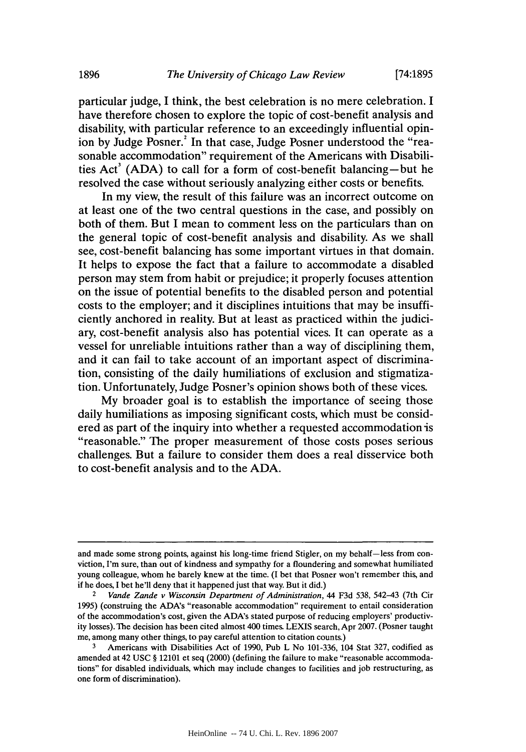particular judge, I think, the best celebration is no mere celebration. **I** have therefore chosen to explore the topic of cost-benefit analysis and disability, with particular reference to an exceedingly influential opinion **by** Judge Posner.' In that case, Judge Posner understood the "reasonable accommodation" requirement of the Americans with Disabilities Act' **(ADA)** to call for a form of cost-benefit balancing-but he resolved the case without seriously analyzing either costs or benefits.

In my view, the result of this failure was an incorrect outcome on at least one of the two central questions in the case, and possibly on both of them. But **I** mean to comment less on the particulars than on the general topic of cost-benefit analysis and disability. As we shall see, cost-benefit balancing has some important virtues in that domain. It helps to expose the fact that a failure to accommodate a disabled person may stem from habit or prejudice; it properly focuses attention on the issue of potential benefits to the disabled person and potential costs to the employer; and it disciplines intuitions that may be insufficiently anchored in reality. But at least as practiced within the judiciary, cost-benefit analysis also has potential vices. It can operate as a vessel for unreliable intuitions rather than a way of disciplining them, and it can fail to take account of an important aspect of discrimination, consisting of the daily humiliations of exclusion and stigmatization. Unfortunately, Judge Posner's opinion shows both of these vices.

**My** broader goal is to establish the importance of seeing those daily humiliations as imposing significant costs, which must be considered as part of the inquiry into whether a requested accommodation is "reasonable." The proper measurement of those costs poses serious challenges. But a failure to consider them does a real disservice both to cost-benefit analysis and to the **ADA.**

and made some strong points, against his long-time friend Stigler, on my behalf-less from conviction, I'm sure, than out of kindness and sympathy for a floundering and somewhat humiliated young colleague, whom he barely knew at the time. (I bet that Posner won't remember this, and if he does, **I** bet he'll deny that it happened just that way. But it did.)

<sup>2</sup>*Vande* **Zande** *v Wisconsin Department of Administration,* 44 **F3d 538,** 542-43 (7th Cir **1995)** (construing the ADA's "reasonable accommodation" requirement to entail consideration of the accommodation's cost, given the ADA's stated purpose of reducing employers' productivity losses). The decision has been cited almost 400 times. **LEXIS** search, Apr **2007.** (Posner taught me, among many other things, to pay careful attention to citation counts.)

**<sup>3</sup>** Americans with Disabilities Act of **1990,** Pub L No **101-336,** 104 Stat **327,** codified as amended at 42 **USC** *§* 12101 et seq (2000) (defining the failure to make "reasonable accommodations" for disabled individuals, which may include changes to facilities and **job** restructuring, as one form of discrimination).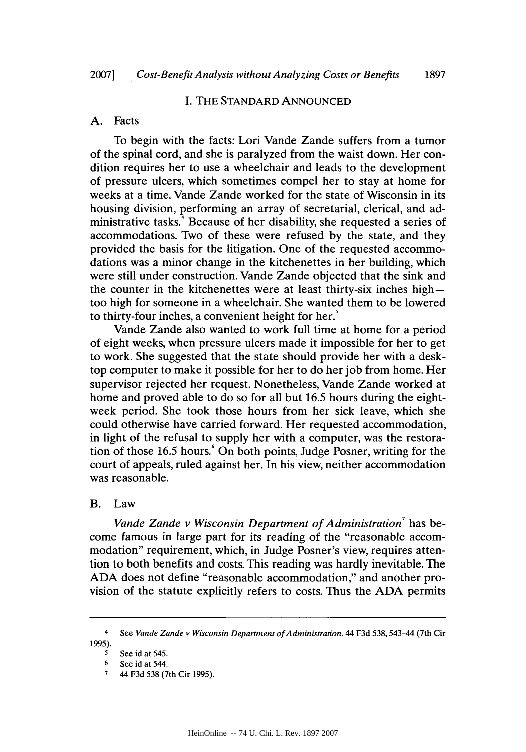# **I.** THE **STANDARD ANNOUNCED**

## **A.** Facts

To begin with the facts: Lori Vande Zande suffers from a tumor of the spinal cord, and she is paralyzed from the waist down. Her condition requires her to use a wheelchair and leads to the development of pressure ulcers, which sometimes compel her to stay at home for weeks at a time. Vande Zande worked for the state of Wisconsin in its housing division, performing an array of secretarial, clerical, and administrative tasks.' Because of her disability, she requested a series of accommodations. Two of these were refused **by** the state, and they provided the basis for the litigation. One of the requested accommodations was a minor change in the kitchenettes in her building, which were still under construction. Vande Zande objected that the sink and the counter in the kitchenettes were at least thirty-six inches hightoo high for someone in a wheelchair. She wanted them to be lowered to thirty-four inches, a convenient height for her.'

Vande Zande also wanted to work full time at home for a period of eight weeks, when pressure ulcers made it impossible for her to get to work. She suggested that the state should provide her with a desktop computer to make it possible for her to do her **job** from home. Her supervisor rejected her request. Nonetheless, Vande Zande worked at home and proved able to do so for all but **16.5** hours during the eightweek period. She took those hours from her sick leave, which she could otherwise have carried forward. Her requested accommodation, in light of the refusal to supply her with a computer, was the restoration of those 16.5 hours. On both points, Judge Posner, writing for the court of appeals, ruled against her. In his view, neither accommodation was reasonable.

#### B. Law

*Vande Zande v Wisconsin Department of Administration'* has become famous in large part for its reading of the "reasonable accommodation" requirement, which, in Judge Posner's view, requires attention to both benefits and costs. This reading was hardly inevitable. The **ADA** does not define "reasonable accommodation," and another provision of the statute explicitly refers to costs. Thus the **ADA** permits

<sup>4</sup>See *Vande* Zande v *Wisconsin Department of Administration,* 44 **F3d 538,** 543-44 (7th Cir **1995).**

**<sup>5</sup>** See **id** at 545.

**<sup>6</sup>** See id at 544.

**<sup>7 44</sup> F3d 538 (7th Cir 1995).**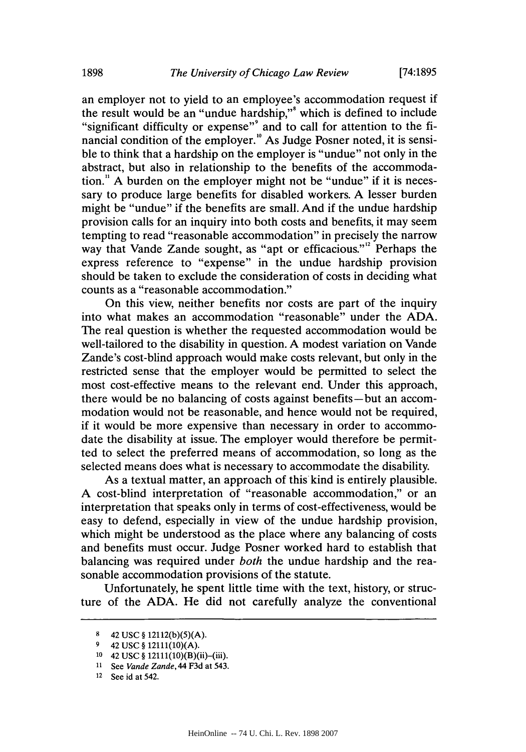an employer not to yield to an employee's accommodation request if the result would be an "undue hardship," which is defined to include "significant difficulty or expense"<sup>9</sup> and to call for attention to the financial condition of the employer.<sup>10</sup> As Judge Posner noted, it is sensible to think that a hardship on the employer is "undue" not only in the abstract, but also in relationship to the benefits of the accommodation." **A** burden on the employer might not be "undue" if it is necessary to produce large benefits for disabled workers. **A** lesser burden might be "undue" if the benefits are small. And if the undue hardship provision calls for an inquiry into both costs and benefits, it may seem tempting to read "reasonable accommodation" in precisely the narrow way that Vande Zande sought, as "apt or efficacious."<sup>2</sup> Perhaps the express reference to "expense" in the undue hardship provision should be taken to exclude the consideration of costs in deciding what counts as a "reasonable accommodation."

On this view, neither benefits nor costs are part of the inquiry into what makes an accommodation "reasonable" under the **ADA.** The real question is whether the requested accommodation would be well-tailored to the disability in question. **A** modest variation on Vande Zande's cost-blind approach would make costs relevant, but only in the restricted sense that the employer would be permitted to select the most cost-effective means to the relevant end. Under this approach, there would be no balancing of costs against benefits-but an accommodation would not be reasonable, and hence would not be required, if it would be more expensive than necessary in order to accommodate the disability at issue. The employer would therefore be permitted to select the preferred means of accommodation, so long as the selected means does what is necessary to accommodate the disability.

As a textual matter, an approach of this kind is entirely plausible. **A** cost-blind interpretation of "reasonable accommodation," or an interpretation that speaks only in terms of cost-effectiveness, would be easy to defend, especially in view of the undue hardship provision, which might be understood as the place where any balancing of costs and benefits must occur. Judge Posner worked hard to establish that balancing was required under *both* the undue hardship and the reasonable accommodation provisions of the statute.

Unfortunately, he spent little time with the text, history, or structure of the **ADA.** He did not carefully analyze the conventional

**<sup>8</sup>**42 **USC § 12112(b)(5)(A).**

**<sup>9</sup>** 42 **USC** *§* **12111(10)(A).**

**<sup>10</sup>** 42 **USC** *§* 12111(10)(B)(ii)-(iii).

**<sup>11</sup>** See *Vande* **Zande,44 F3d** at 543.

<sup>12</sup> See id at 542.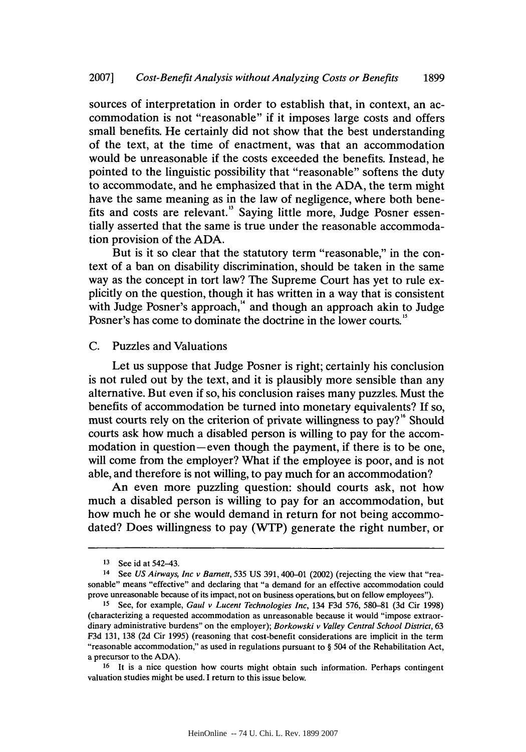sources of interpretation in order to establish that, in context, an accommodation is not "reasonable" if it imposes large costs and offers small benefits. He certainly did not show that the best understanding of the text, at the time of enactment, was that an accommodation would be unreasonable if the costs exceeded the benefits. Instead, he pointed to the linguistic possibility that "reasonable" softens the duty to accommodate, and he emphasized that in the **ADA,** the term might have the same meaning as in the law of negligence, where both benefits and costs are relevant.' Saying little more, Judge Posner essentially asserted that the same is true under the reasonable accommodation provision of the **ADA.**

But is it so clear that the statutory term "reasonable," in the context of a ban on disability discrimination, should be taken in the same way as the concept in tort law? The Supreme Court has yet to rule explicitly on the question, though it has written in a way that is consistent with Judge Posner's approach," and though an approach akin to Judge Posner's has come to dominate the doctrine in the lower courts."

#### **C.** Puzzles and Valuations

Let us suppose that Judge Posner is right; certainly his conclusion is not ruled out **by** the text, and it is plausibly more sensible than any alternative. But even if so, his conclusion raises many puzzles. Must the benefits of accommodation be turned into monetary equivalents? **If** so, must courts rely on the criterion of private willingness to pay?" Should courts ask how much a disabled person is willing to pay for the accommodation in question-even though the payment, if there is to be one, will come from the employer? What if the employee is poor, and is not able, and therefore is not willing, to pay much for an accommodation?

An even more puzzling question: should courts ask, not how much a disabled person is willing to pay for an accommodation, but how much he or she would demand in return for not being accommodated? Does willingness to pay (WTP) generate the right number, or

<sup>13</sup> See id at 542-43.

**<sup>14</sup>** See *US Airways, Inc v Barnett, 535* **US 391,** 400-01 (2002) (rejecting the view that "reasonable" means "effective" and declaring that "a demand for an effective accommodation could prove unreasonable because of its impact, not on business operations, but on fellow employees").

**<sup>15</sup>**See, for example, *Gaul v Lucent Technologies Inc,* 134 **F3d 576, 580-81 (3d** Cir **1998)** (characterizing a requested accommodation as unreasonable because it would "impose extraordinary administrative burdens" on the employer); *Borkowski v Valley Central School District, 63* **F3d 131, 138 (2d** Cir **1995)** (reasoning that cost-benefit considerations are implicit in the term "reasonable accommodation," as used in regulations pursuant to *§* 504 of the Rehabilitation Act, a precursor to the **ADA).**

**<sup>16</sup>**It is a nice question how courts might obtain such information. Perhaps contingent valuation studies might be used. I return to this issue below.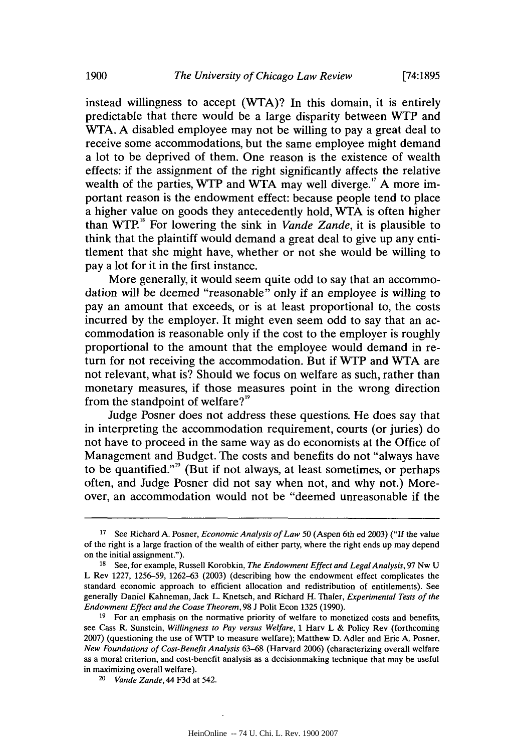instead willingness to accept (WTA)? In this domain, it is entirely predictable that there would be a large disparity between WTP and WTA. **A** disabled employee may not be willing to pay a great deal to receive some accommodations, but the same employee might demand a lot to be deprived of them. One reason is the existence of wealth effects: if the assignment of the right significantly affects the relative wealth of the parties, WTP and *WTA* may well diverge." **A** more important reason is the endowment effect: because people tend to place a higher value on goods they antecedently hold, WTA is often higher than WTP." For lowering the sink in *Vande Zande,* it is plausible to think that the plaintiff would demand a great deal to give up any entitlement that she might have, whether or not she would be willing to pay a lot for it in the first instance.

More generally, it would seem quite odd to say that an accommodation will be deemed "reasonable" only if an employee is willing to pay an amount that exceeds, or is at least proportional to, the costs incurred **by** the employer. It might even seem odd to say that an accommodation is reasonable only if the cost to the employer is roughly proportional to the amount that the employee would demand in return for not receiving the accommodation. But if WTP and WTA are not relevant, what is? Should we focus on welfare as such, rather than monetary measures, if those measures point in the wrong direction from the standpoint of welfare?"

Judge Posner does not address these questions. He does say that in interpreting the accommodation requirement, courts (or juries) do not have to proceed in the same way as do economists at the Office of Management and Budget. The costs and benefits do not "always have to be quantified.""' (But if not always, at least sometimes, or perhaps often, and Judge Posner did not say when not, and why not.) Moreover, an accommodation would not be "deemed unreasonable if the

**<sup>17</sup>**See Richard **A.** Posner, *Economic Analysis of Law 50* (Aspen 6th ed **2003) ("If** the value of the right is a large fraction of the wealth of either party, where the right ends up may depend on the initial assignment.").

**<sup>18</sup>**See, for example, Russell Korobkin, *The Endowment Effect and Legal Analysis,* **97** Nw **U** L Rev **1227, 1256-59, 1262-63 (2003)** (describing how the endowment effect complicates the standard economic approach to efficient allocation and redistribution of entitlements). See generally Daniel Kahneman, Jack *L.* Knetsch, and Richard H. Thaler, *Experimental Tests of the Endowment Effect and the Coase Theorem,* **98 J** Polit Econ **1325 (1990).**

**<sup>19</sup>** For an emphasis on the normative priority of welfare to monetized costs and benefits, see Cass R. Sunstein, *Willingness to Pay versus Welfare,* **1** Harv L **&** Policy Rev (forthcoming **2007)** (questioning the use of WTP to measure welfare); Matthew **D.** Adler and Eric **A.** Posner, *New Foundations of Cost-Benefit Analysis* **63-68** (Harvard **2006)** (characterizing overall welfare as a moral criterion, and cost-benefit analysis as a decisionmaking technique that may be useful in maximizing overall welfare).

<sup>20</sup>*Vande* **Zande,** 44 **F3d** at 542.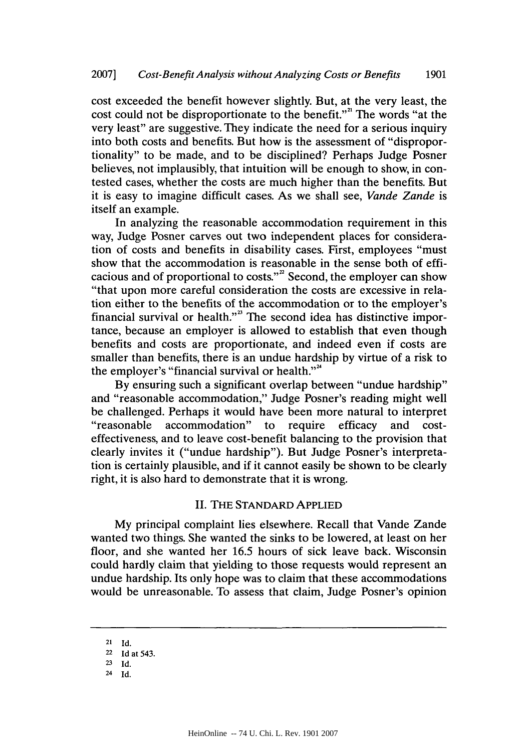cost exceeded the benefit however slightly. But, at the very least, the cost could not be disproportionate to the benefit."" The words "at the very least" are suggestive. They indicate the need for a serious inquiry into both costs and benefits. But how is the assessment of "disproportionality" to be made, and to be disciplined? Perhaps Judge Posner believes, not implausibly, that intuition will be enough to show, in contested cases, whether the costs are much higher than the benefits. But it is easy to imagine difficult cases. As we shall see, *Vande Zande* is itself an example.

In analyzing the reasonable accommodation requirement in this way, Judge Posner carves out two independent places for consideration of costs and benefits in disability cases. First, employees "must show that the accommodation is reasonable in the sense both of efficacious and of proportional to costs."" Second, the employer can show "that upon more careful consideration the costs are excessive in relation either to the benefits of the accommodation or to the employer's financial survival or health."<sup>23</sup> The second idea has distinctive importance, because an employer is allowed to establish that even though benefits and costs are proportionate, and indeed even if costs are smaller than benefits, there is an undue hardship **by** virtue of a risk to the employer's "financial survival or health."<sup>4</sup>

**By** ensuring such a significant overlap between "undue hardship" and "reasonable accommodation," Judge Posner's reading might well be challenged. Perhaps it would have been more natural to interpret "reasonable accommodation" to require efficacy and costeffectiveness, and to leave cost-benefit balancing to the provision that clearly invites it ("undue hardship"). But Judge Posner's interpretation is certainly plausible, and if it cannot easily be shown to be clearly right, it is also hard to demonstrate that it is wrong.

#### **II.** THE **STANDARD APPLIED**

**My** principal complaint lies elsewhere. Recall that Vande Zande wanted two things. She wanted the sinks to be lowered, at least on her floor, and she wanted her **16.5** hours of sick leave back. Wisconsin could hardly claim that yielding to those requests would represent an undue hardship. Its only hope was to claim that these accommodations would be unreasonable. To assess that claim, Judge Posner's opinion

**<sup>21</sup> Id.**

**<sup>22</sup>Id** at 543.

**<sup>23</sup> Id.**

**<sup>24</sup>Id.**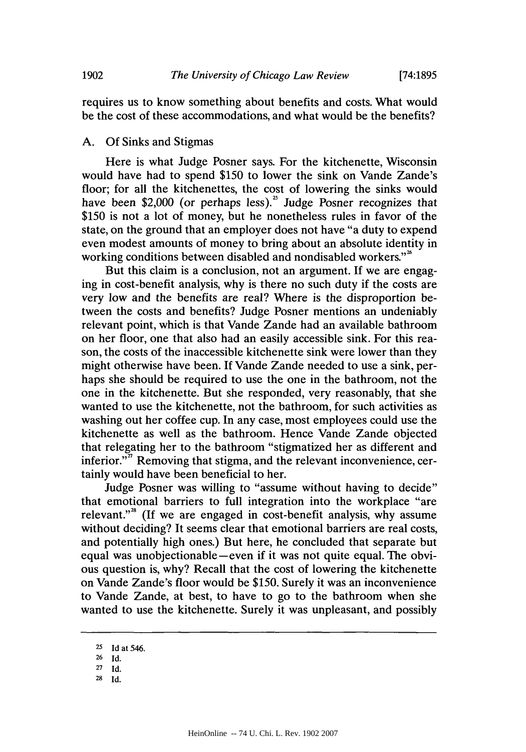requires us to know something about benefits and costs. What would be the cost of these accommodations, and what would be the benefits?

#### **A. Of** Sinks and Stigmas

Here is what Judge Posner says. For the kitchenette, Wisconsin would have had to spend **\$150** to lower the sink on Vande Zande's floor; for all the kitchenettes, the cost of lowering the sinks would have been \$2,000 (or perhaps less).<sup>25</sup> Judge Posner recognizes that **\$150** is not a lot of money, but he nonetheless rules in favor of the state, on the ground that an employer does not have "a duty to expend even modest amounts of money to bring about an absolute identity in working conditions between disabled and nondisabled workers."<sup>26</sup>

But this claim is a conclusion, not an argument. If we are engaging in cost-benefit analysis, why is there no such duty if the costs are very low and the benefits are real? Where is the disproportion between the costs and benefits? Judge Posner mentions an undeniably relevant point, which is that Vande Zande had an available bathroom on her floor, one that also had an easily accessible sink. For this reason, the costs of the inaccessible kitchenette sink were lower than they might otherwise have been. **If** Vande Zande needed to use a sink, perhaps she should be required to use the one in the bathroom, not the one in the kitchenette. But she responded, very reasonably, that she wanted to use the kitchenette, not the bathroom, for such activities as washing out her coffee cup. In any case, most employees could use the kitchenette as well as the bathroom. Hence Vande Zande objected that relegating her to the bathroom "stigmatized her as different and inferior."<sup>"</sup> Removing that stigma, and the relevant inconvenience, certainly would have been beneficial to her.

Judge Posner was willing to "assume without having to decide" that emotional barriers to full integration into the workplace "are relevant."" **(If** we are engaged in cost-benefit analysis, why assume without deciding? It seems clear that emotional barriers are real costs, and potentially high ones.) But here, he concluded that separate but equal was unobjectionable-even if it was not quite equal. The obvious question is, why? Recall that the cost of lowering the kitchenette on Vande Zande's floor would be *\$150.* Surely it was an inconvenience to Vande Zande, at best, to have to go to the bathroom when she wanted to use the kitchenette. Surely it was unpleasant, and possibly

**28 Id.**

**<sup>25</sup> Id at 546.**

**<sup>26</sup>Id.**

**<sup>27</sup>Id.**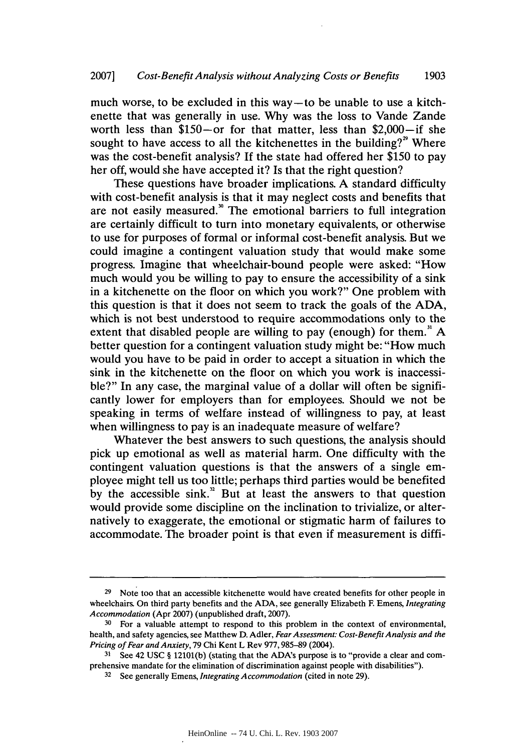much worse, to be excluded in this way-to be unable to use a kitchenette that was generally in use. **Why** was the loss to Vande Zande worth less than  $$150$ -or for that matter, less than  $$2,000$ -if she sought to have access to all the kitchenettes in the building? $^2$  Where was the cost-benefit analysis? **If** the state had offered her **\$150** to pay her off, would she have accepted it? Is that the right question?

These questions have broader implications. **A** standard difficulty with cost-benefit analysis is that it may neglect costs and benefits that are not easily measured." The emotional barriers to full integration are certainly difficult to turn into monetary equivalents, or otherwise to use for purposes of formal or informal cost-benefit analysis. But we could imagine a contingent valuation study that would make some progress. Imagine that wheelchair-bound people were asked: "How much would you be willing to pay to ensure the accessibility of a sink in a kitchenette on the floor on which you work?" One problem with this question is that it does not seem to track the goals of the **ADA,** which is not best understood to require accommodations only to the extent that disabled people are willing to pay (enough) for them." **A** better question for a contingent valuation study might be: "How much would you have to be paid in order to accept a situation in which the sink in the kitchenette on the floor on which you work is inaccessible?" In any case, the marginal value of a dollar will often be significantly lower for employers than for employees. Should we not be speaking in terms of welfare instead of willingness to pay, at least when willingness to pay is an inadequate measure of welfare?

Whatever the best answers to such questions, the analysis should pick up emotional as well as material harm. One difficulty with the contingent valuation questions is that the answers of a single employee might tell us too little; perhaps third parties would be benefited **by** the accessible sink." But at least the answers to that question would provide some discipline on the inclination to trivialize, or alternatively to exaggerate, the emotional or stigmatic harm of failures to accommodate. The broader point is that even if measurement is diffi-

<sup>&</sup>lt;sup>29</sup> Note too that an accessible kitchenette would have created benefits for other people in wheelchairs. On third party benefits and the **ADA,** see generally Elizabeth F. Emens, *Integrating Accommodation* (Apr **2007)** (unpublished draft, **2007).**

<sup>&</sup>lt;sup>30</sup> For a valuable attempt to respond to this problem in the context of environmental, health, and safety agencies, see Matthew **D.** Adler, *Fear Assessment: Cost-Benefit Analysis and the Pricing of Fear and Anxiety,* **79** Chi Kent L Rev **977, 985-89** (2004).

**<sup>31</sup>** See 42 **USC § 12101(b)** (stating that the ADA's purpose is to "provide a clear and comprehensive mandate for the elimination of discrimination against people with disabilities").

**<sup>32</sup>**See generally Emens, *Integrating Accommodation* (cited in note **29).**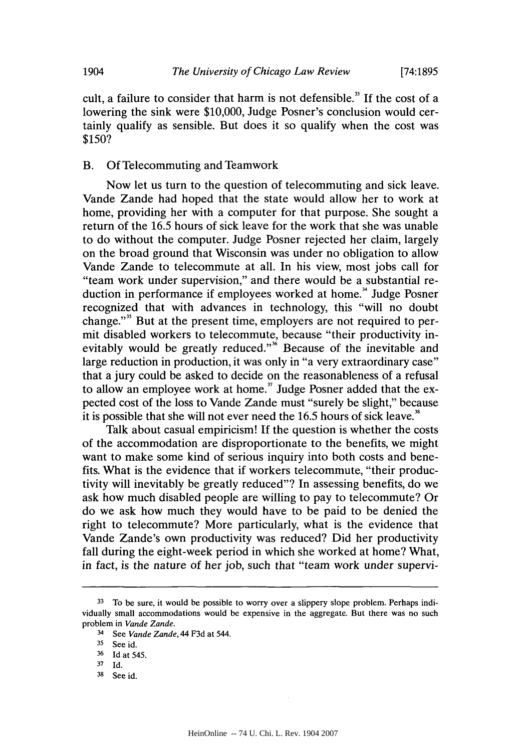cult, a failure to consider that harm is not defensible.<sup>33</sup> If the cost of a lowering the sink were **\$10,000,** Judge Posner's conclusion would certainly qualify as sensible. But does it so qualify when the cost was *\$150?*

#### B. **Of** Telecommuting and Teamwork

Now let us turn to the question of telecommuting and sick leave. Vande Zande had hoped that the state would allow her to work at home, providing her with a computer for that purpose. She sought a return of the *16.5* hours of sick leave for the work that she was unable to do without the computer. Judge Posner rejected her claim, largely on the broad ground that Wisconsin was under no obligation to allow Vande Zande to telecommute at all. In his view, most jobs call for "team work under supervision," and there would be a substantial reduction in performance if employees worked at home.<sup>34</sup> Judge Posner recognized that with advances in technology, this "will no doubt change."" But at the present time, employers are not required to permit disabled workers to telecommute, because "their productivity inevitably would be greatly reduced."<sup>36</sup> Because of the inevitable and large reduction in production, it was only in "a very extraordinary case" that a jury could be asked to decide on the reasonableness of a refusal to allow an employee work at home." Judge Posner added that the expected cost of the loss to Vande Zande must "surely be slight," because it is possible that she will not ever need the *16.5* hours of sick leave."

Talk about casual empiricism! **If** the question is whether the costs of the accommodation are disproportionate to the benefits, we might want to make some kind of serious inquiry into both costs and benefits. What is the evidence that if workers telecommute, "their productivity will inevitably be greatly reduced"? In assessing benefits, do we ask how much disabled people are willing to pay to telecommute? Or do we ask how much they would have to be paid to be denied the right to telecommute? More particularly, what is the evidence that Vande Zande's own productivity was reduced? Did her productivity fall during the eight-week period in which she worked at home? What, in fact, is the nature of her **job,** such that "team work under supervi-

**<sup>33</sup>** To be sure, it would be possible to worry over a slippery slope problem. Perhaps individually small accommodations would be expensive in the aggregate. But there was no such problem in **Vande Zande.**

<sup>3</sup> See **Vande Zande,** 44 **F3d** at 544.

<sup>&</sup>lt;sup>35</sup> See id.

**<sup>36</sup>Id** at 545.

**<sup>37</sup>**Id.

**<sup>38</sup>**See id.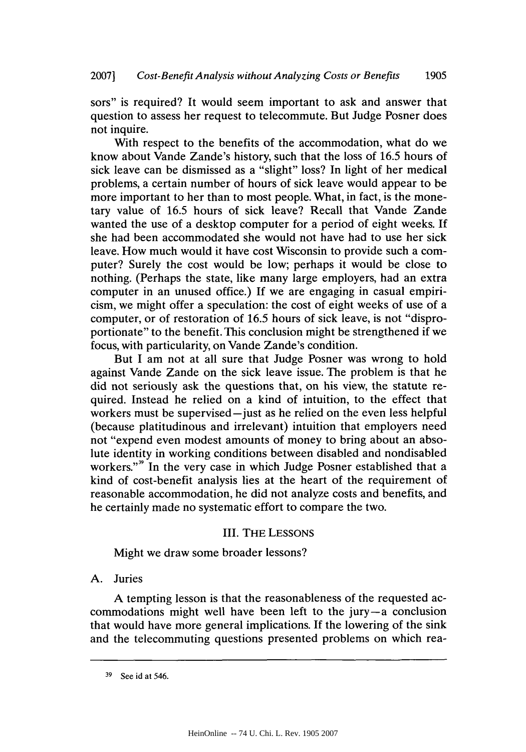sors" is required? It would seem important to ask and answer that question to assess her request to telecommute. But Judge Posner does not inquire.

With respect to the benefits of the accommodation, what do we know about Vande Zande's history, such that the loss of **16.5** hours of sick leave can be dismissed as a "slight" loss? In light of her medical problems, a certain number of hours of sick leave would appear to be more important to her than to most people. What, in fact, is the monetary value of **16.5** hours of sick leave? Recall that Vande Zande wanted the use of a desktop computer for a period of eight weeks. **If** she had been accommodated she would not have had to use her sick leave. How much would it have cost Wisconsin to provide such a computer? Surely the cost would be low; perhaps it would be close to nothing. (Perhaps the state, like many large employers, had an extra computer in an unused office.) **If** we are engaging in casual empiricism, we might offer a speculation: the cost of eight weeks of use of a computer, or of restoration of **16.5** hours of sick leave, is not "disproportionate" to the benefit. This conclusion might be strengthened if we focus, with particularity, on Vande Zande's condition.

But I am not at all sure that Judge Posner was wrong to hold against Vande Zande on the sick leave issue. The problem is that he did not seriously ask the questions that, on his view, the statute required. Instead he relied on a kind of intuition, to the effect that workers must be supervised-just as he relied on the even less helpful (because platitudinous and irrelevant) intuition that employers need not "expend even modest amounts of money to bring about an absolute identity in working conditions between disabled and nondisabled workers."<sup>39</sup> In the very case in which Judge Posner established that a kind of cost-benefit analysis lies at the heart of the requirement of reasonable accommodation, he did not analyze costs and benefits, and he certainly made no systematic effort to compare the two.

# III. THE **LESSONS**

Might we draw some broader lessons?

# **A.** Juries

**A** tempting lesson is that the reasonableness of the requested accommodations might well have been left to the jury-a conclusion that would have more general implications. **If** the lowering of the sink and the telecommuting questions presented problems on which rea-

**<sup>39</sup>**See **id** at 546.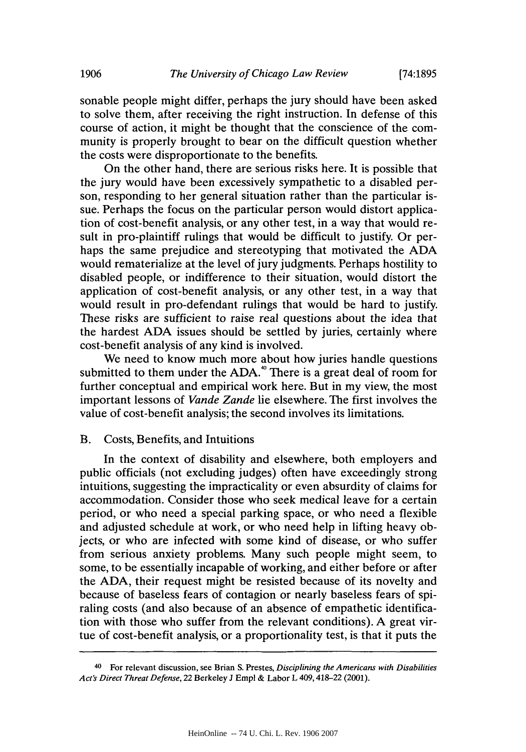sonable people might differ, perhaps the jury should have been asked to solve them, after receiving the right instruction. In defense of this course of action, it might be thought that the conscience of the community is properly brought to bear on the difficult question whether the costs were disproportionate to the benefits.

On the other hand, there are serious risks here. It is possible that the jury would have been excessively sympathetic to a disabled person, responding to her general situation rather than the particular issue. Perhaps the focus on the particular person would distort application of cost-benefit analysis, or any other test, in a way that would result in pro-plaintiff rulings that would be difficult to justify. Or perhaps the same prejudice and stereotyping that motivated the **ADA** would rematerialize at the level of jury judgments. Perhaps hostility to disabled people, or indifference to their situation, would distort the application of cost-benefit analysis, or any other test, in a way that would result in pro-defendant rulings that would be hard to justify. These risks are sufficient to raise real questions about the idea that the hardest **ADA** issues should be settled **by** juries, certainly where cost-benefit analysis of any kind is involved.

We need to know much more about how juries handle questions submitted to them under the ADA.<sup>40</sup> There is a great deal of room for further conceptual and empirical work here. But in my view, the most important lessons of *Vande Zande* lie elsewhere. The first involves the value of cost-benefit analysis; the second involves its limitations.

#### B. Costs, Benefits, and Intuitions

In the context of disability and elsewhere, both employers and public officials (not excluding judges) often have exceedingly strong intuitions, suggesting the impracticality or even absurdity of claims for accommodation. Consider those who seek medical leave for a certain period, or who need a special parking space, or who need a flexible and adjusted schedule at work, or who need help in lifting heavy objects, or who are infected with some kind of disease, or who suffer from serious anxiety problems. Many such people might seem, to some, to be essentially incapable of working, and either before or after the **ADA,** their request might be resisted because of its novelty and because of baseless fears of contagion or nearly baseless fears of spiraling costs (and also because of an absence of empathetic identification with those who suffer from the relevant conditions). **A** great virtue of cost-benefit analysis, or a proportionality test, is that it puts the

<sup>4</sup> For relevant discussion, see Brian **S.** Prestes, *Disciplining the Americans with Disabilities Act's Direct Threat Defense,* 22 Berkeley **J** *Empl* **&** Labor L 409,418-22 (2001).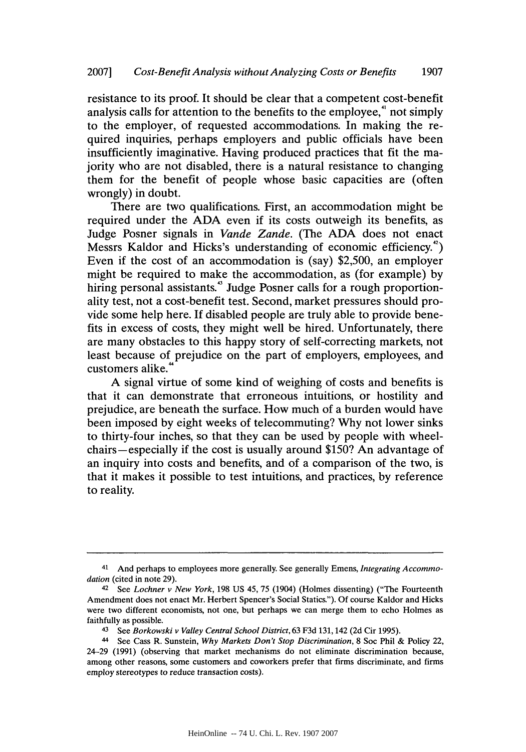resistance to its proof. It should be clear that a competent cost-benefit analysis calls for attention to the benefits to the employee," not simply to the employer, of requested accommodations. In making the required inquiries, perhaps employers and public officials have been insufficiently imaginative. Having produced practices that fit the majority who are not disabled, there is a natural resistance to changing them for the benefit of people whose basic capacities are (often wrongly) in doubt.

There are two qualifications. First, an accommodation might be required under the **ADA** even if its costs outweigh its benefits, as Judge Posner signals in *Vande Zande.* (The **ADA** does not enact Messrs Kaldor and Hicks's understanding of economic efficiency.") Even if the cost of an accommodation is (say) **\$2,500,** an employer might be required to make the accommodation, as (for example) **by** hiring personal assistants.<sup>43</sup> Judge Posner calls for a rough proportionality test, not a cost-benefit test. Second, market pressures should provide some help here. **If** disabled people are truly able to provide benefits in excess of costs, they might well be hired. Unfortunately, there are many obstacles to this happy story of self-correcting markets, not least because of prejudice on the part of employers, employees, and customers alike.

**A** signal virtue of some kind of weighing of costs and benefits is that it can demonstrate that erroneous intuitions, or hostility and prejudice, are beneath the surface. How much of a burden would have been imposed **by** eight weeks of telecommuting? **Why** not lower sinks to thirty-four inches, so that they can be used **by** people with wheelchairs -especially if the cost is usually around **\$150?** An advantage of an inquiry into costs and benefits, and of a comparison of the two, is that it makes it possible to test intuitions, and practices, **by** reference to reality.

<sup>41</sup> And perhaps to employees more generally. See generally Emens, *Integrating Accommodation* (cited in note **29).**

<sup>42</sup>See *Lochner v New York,* **198 US** 45, **75** (1904) (Holmes dissenting) *("The* Fourteenth Amendment does not enact Mr. Herbert Spencer's Social Statics."). **Of** course Kaldor and Hicks were two different economists, not one, but perhaps we can merge them to echo Holmes as faithfully as possible.

<sup>43</sup> See *Borkowski v Valley Central School District,* **63 F3d** 131,142 **(2d** Cir **1995).**

<sup>44</sup> See Cass R. Sunstein, *Why Markets Don't Stop Discrimination,* **8** Soc Phil **&** Policy 22, 24-29 **(1991)** (observing that market mechanisms do not eliminate discrimination because, among other reasons, some customers and coworkers prefer that firms discriminate, and firms employ stereotypes to reduce transaction costs).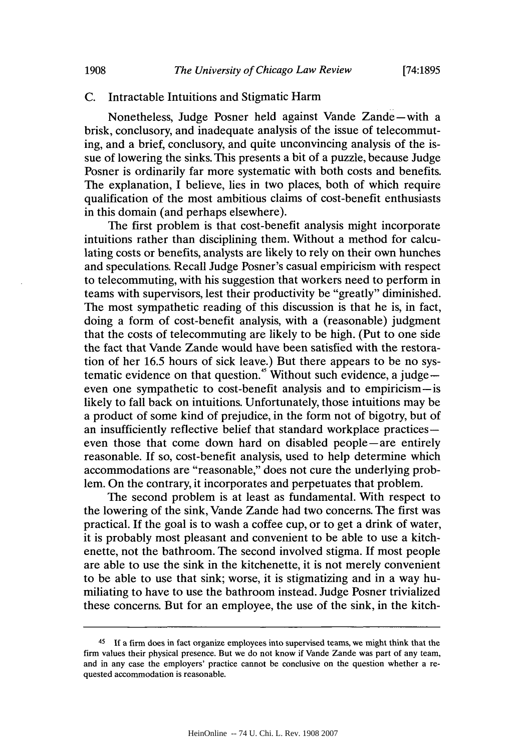## **C.** Intractable Intuitions and Stigmatic Harm

Nonetheless, Judge Posner held against Vande Zande-with a brisk, conclusory, and inadequate analysis of the issue of telecommuting, and a brief, conclusory, and quite unconvincing analysis of the issue of lowering the sinks. This presents a bit of a puzzle, because Judge Posner is ordinarily far more systematic with both costs and benefits. The explanation, **I** believe, lies in two places, both of which require qualification of the most ambitious claims of cost-benefit enthusiasts in this domain (and perhaps elsewhere).

The first problem is that cost-benefit analysis might incorporate intuitions rather than disciplining them. Without a method for calculating costs or benefits, analysts are likely to rely on their own hunches and speculations. Recall Judge Posner's casual empiricism with respect to telecommuting, with his suggestion that workers need to perform in teams with supervisors, lest their productivity be "greatly" diminished. The most sympathetic reading of this discussion is that he is, in fact, doing a form of cost-benefit analysis, with a (reasonable) judgment that the costs of telecommuting are likely to be high. (Put to one side the fact that Vande Zande would have been satisfied with the restoration of her **16.5** hours of sick leave.) But there appears to be no systematic evidence on that question." Without such evidence, a judge  $$ even one sympathetic to cost-benefit analysis and to empiricism-is likely to fall back on intuitions. Unfortunately, those intuitions may be a product of some kind of prejudice, in the form not of bigotry, but of an insufficiently reflective belief that standard workplace practiceseven those that come down hard on disabled people-are entirely reasonable. **If** so, cost-benefit analysis, used to help determine which accommodations are "reasonable," does not cure the underlying problem. On the contrary, it incorporates and perpetuates that problem.

The second problem is at least as fundamental. With respect to the lowering of the sink, Vande Zande had two concerns. The first was practical. **If** the goal is to wash a coffee cup, or to get a drink of water, it is probably most pleasant and convenient to be able to use a kitchenette, not the bathroom. The second involved stigma. **If** most people are able to use the sink in the kitchenette, it is not merely convenient to be able to use that sink; worse, it is stigmatizing and in a way humiliating to have to use the bathroom instead. Judge Posner trivialized these concerns. But for an employee, the use of the sink, in the kitch-

**<sup>45</sup>If** a firm does in fact organize employees into supervised teams, we might **think that the** firm values their physical presence. But we do not know if Vande Zande was part of any team, and in any case the employers' practice cannot be conclusive on the question whether a requested accommodation is reasonable.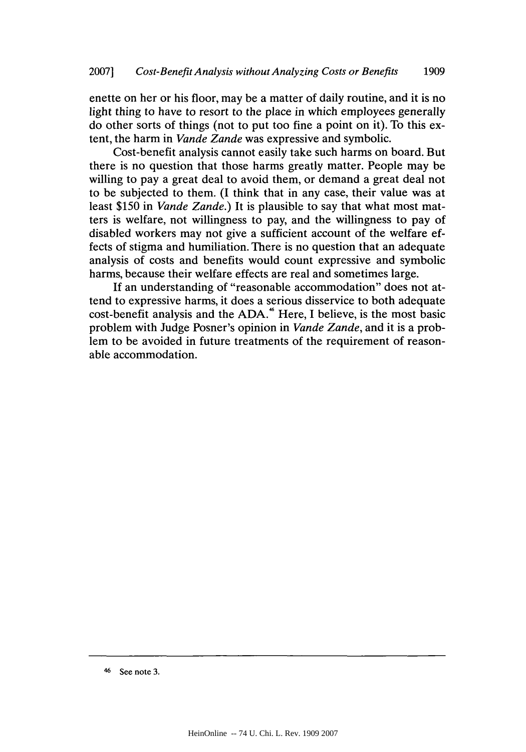enette on her or his floor, may be a matter of daily routine, and it is no light thing to have to resort to the place in which employees generally do other sorts of things (not to put too fine a point on it). To this extent, the harm in *Vande Zande* was expressive and symbolic.

Cost-benefit analysis cannot easily take such harms on board. But there is no question that those harms greatly matter. People may be willing to pay a great deal to avoid them, or demand a great deal not to be subjected to them. **(I** think that in any case, their value was at least **\$150** in *Vande Zande.)* It is plausible to say that what most matters is welfare, not willingness to pay, and the willingness to pay of disabled workers may not give a sufficient account of the welfare effects of stigma and humiliation. There is no question that an adequate analysis of costs and benefits would count expressive and symbolic harms, because their welfare effects are real and sometimes large.

**If** an understanding of "reasonable accommodation" does not attend to expressive harms, it does a serious disservice to both adequate cost-benefit analysis and the ADA.<sup>46</sup> Here, I believe, is the most basic problem with Judge Posner's opinion in *Vande Zande,* and it is a problem to be avoided in future treatments of the requirement of reasonable accommodation.

<sup>46</sup> See note **3.**